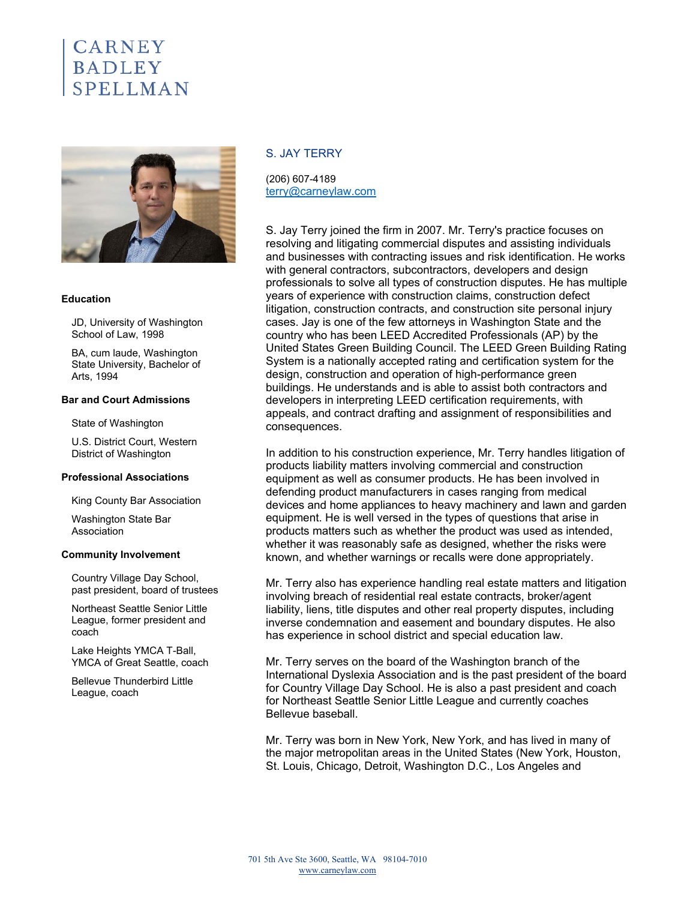# **CARNEY BADLEY** SPELLMAN



#### **Education**

JD, University of Washington School of Law, 1998

BA, cum laude, Washington State University, Bachelor of Arts, 1994

# **Bar and Court Admissions**

State of Washington

U.S. District Court, Western District of Washington

#### **Professional Associations**

King County Bar Association

Washington State Bar Association

#### **Community Involvement**

Country Village Day School, past president, board of trustees

Northeast Seattle Senior Little League, former president and coach

Lake Heights YMCA T-Ball, YMCA of Great Seattle, coach

Bellevue Thunderbird Little League, coach

# S. JAY TERRY

(206) 607-4189 terry@carneylaw.com

S. Jay Terry joined the firm in 2007. Mr. Terry's practice focuses on resolving and litigating commercial disputes and assisting individuals and businesses with contracting issues and risk identification. He works with general contractors, subcontractors, developers and design professionals to solve all types of construction disputes. He has multiple years of experience with construction claims, construction defect litigation, construction contracts, and construction site personal injury cases. Jay is one of the few attorneys in Washington State and the country who has been LEED Accredited Professionals (AP) by the United States Green Building Council. The LEED Green Building Rating System is a nationally accepted rating and certification system for the design, construction and operation of high-performance green buildings. He understands and is able to assist both contractors and developers in interpreting LEED certification requirements, with appeals, and contract drafting and assignment of responsibilities and consequences.

In addition to his construction experience, Mr. Terry handles litigation of products liability matters involving commercial and construction equipment as well as consumer products. He has been involved in defending product manufacturers in cases ranging from medical devices and home appliances to heavy machinery and lawn and garden equipment. He is well versed in the types of questions that arise in products matters such as whether the product was used as intended, whether it was reasonably safe as designed, whether the risks were known, and whether warnings or recalls were done appropriately.

Mr. Terry also has experience handling real estate matters and litigation involving breach of residential real estate contracts, broker/agent liability, liens, title disputes and other real property disputes, including inverse condemnation and easement and boundary disputes. He also has experience in school district and special education law.

Mr. Terry serves on the board of the Washington branch of the International Dyslexia Association and is the past president of the board for Country Village Day School. He is also a past president and coach for Northeast Seattle Senior Little League and currently coaches Bellevue baseball.

Mr. Terry was born in New York, New York, and has lived in many of the major metropolitan areas in the United States (New York, Houston, St. Louis, Chicago, Detroit, Washington D.C., Los Angeles and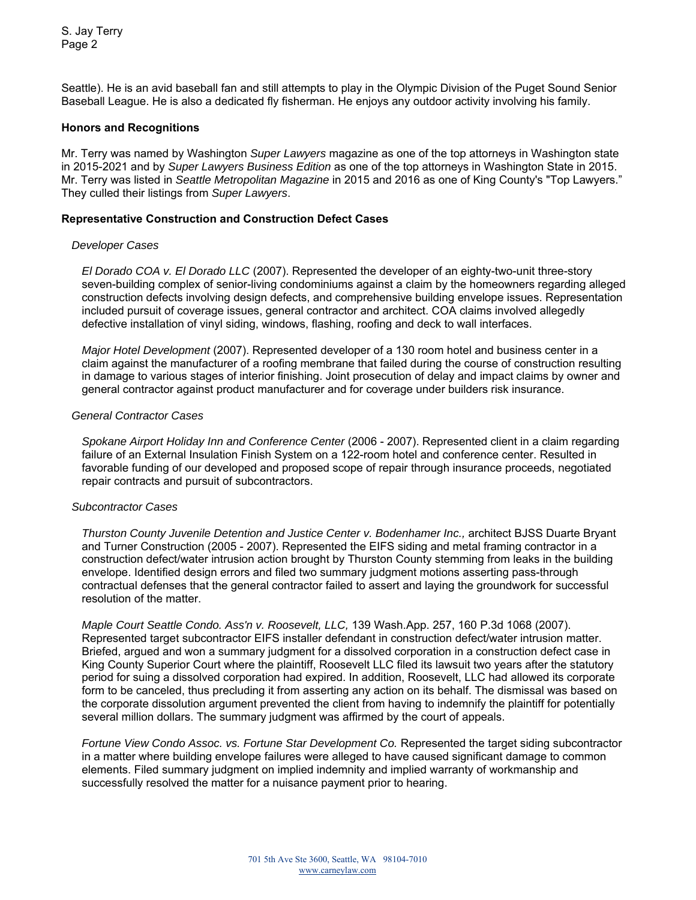S. Jay Terry Page 2

Seattle). He is an avid baseball fan and still attempts to play in the Olympic Division of the Puget Sound Senior Baseball League. He is also a dedicated fly fisherman. He enjoys any outdoor activity involving his family.

# **Honors and Recognitions**

Mr. Terry was named by Washington *Super Lawyers* magazine as one of the top attorneys in Washington state in 2015-2021 and by *Super Lawyers Business Edition* as one of the top attorneys in Washington State in 2015. Mr. Terry was listed in *Seattle Metropolitan Magazine* in 2015 and 2016 as one of King County's "Top Lawyers." They culled their listings from *Super Lawyers*.

# **Representative Construction and Construction Defect Cases**

#### *Developer Cases*

*El Dorado COA v. El Dorado LLC* (2007). Represented the developer of an eighty-two-unit three-story seven-building complex of senior-living condominiums against a claim by the homeowners regarding alleged construction defects involving design defects, and comprehensive building envelope issues. Representation included pursuit of coverage issues, general contractor and architect. COA claims involved allegedly defective installation of vinyl siding, windows, flashing, roofing and deck to wall interfaces.

*Major Hotel Development* (2007). Represented developer of a 130 room hotel and business center in a claim against the manufacturer of a roofing membrane that failed during the course of construction resulting in damage to various stages of interior finishing. Joint prosecution of delay and impact claims by owner and general contractor against product manufacturer and for coverage under builders risk insurance.

## *General Contractor Cases*

*Spokane Airport Holiday Inn and Conference Center* (2006 - 2007). Represented client in a claim regarding failure of an External Insulation Finish System on a 122-room hotel and conference center. Resulted in favorable funding of our developed and proposed scope of repair through insurance proceeds, negotiated repair contracts and pursuit of subcontractors.

### *Subcontractor Cases*

*Thurston County Juvenile Detention and Justice Center v. Bodenhamer Inc.,* architect BJSS Duarte Bryant and Turner Construction (2005 - 2007). Represented the EIFS siding and metal framing contractor in a construction defect/water intrusion action brought by Thurston County stemming from leaks in the building envelope. Identified design errors and filed two summary judgment motions asserting pass-through contractual defenses that the general contractor failed to assert and laying the groundwork for successful resolution of the matter.

*Maple Court Seattle Condo. Ass'n v. Roosevelt, LLC,* 139 Wash.App. 257, 160 P.3d 1068 (2007). Represented target subcontractor EIFS installer defendant in construction defect/water intrusion matter. Briefed, argued and won a summary judgment for a dissolved corporation in a construction defect case in King County Superior Court where the plaintiff, Roosevelt LLC filed its lawsuit two years after the statutory period for suing a dissolved corporation had expired. In addition, Roosevelt, LLC had allowed its corporate form to be canceled, thus precluding it from asserting any action on its behalf. The dismissal was based on the corporate dissolution argument prevented the client from having to indemnify the plaintiff for potentially several million dollars. The summary judgment was affirmed by the court of appeals.

*Fortune View Condo Assoc. vs. Fortune Star Development Co.* Represented the target siding subcontractor in a matter where building envelope failures were alleged to have caused significant damage to common elements. Filed summary judgment on implied indemnity and implied warranty of workmanship and successfully resolved the matter for a nuisance payment prior to hearing.